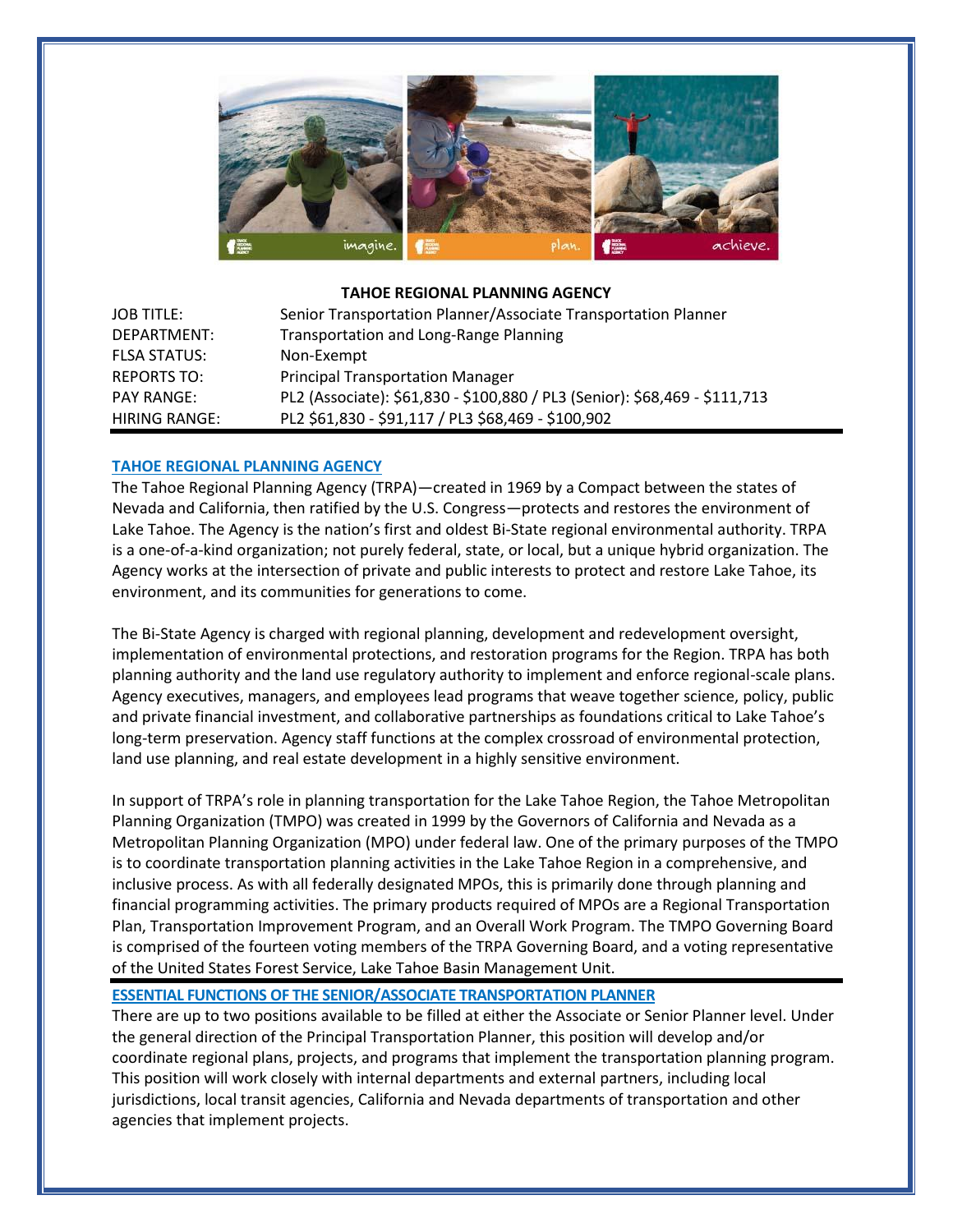

#### **TAHOE REGIONAL PLANNING AGENCY**

| <b>JOB TITLE:</b>    | Senior Transportation Planner/Associate Transportation Planner             |
|----------------------|----------------------------------------------------------------------------|
| DEPARTMENT:          | <b>Transportation and Long-Range Planning</b>                              |
| <b>FLSA STATUS:</b>  | Non-Exempt                                                                 |
| <b>REPORTS TO:</b>   | <b>Principal Transportation Manager</b>                                    |
| <b>PAY RANGE:</b>    | PL2 (Associate): \$61,830 - \$100,880 / PL3 (Senior): \$68,469 - \$111,713 |
| <b>HIRING RANGE:</b> | PL2 \$61,830 - \$91,117 / PL3 \$68,469 - \$100,902                         |

### **TAHOE REGIONAL PLANNING AGENCY**

The Tahoe Regional Planning Agency (TRPA)—created in 1969 by a Compact between the states of Nevada and California, then ratified by the U.S. Congress—protects and restores the environment of Lake Tahoe. The Agency is the nation's first and oldest Bi-State regional environmental authority. TRPA is a one-of-a-kind organization; not purely federal, state, or local, but a unique hybrid organization. The Agency works at the intersection of private and public interests to protect and restore Lake Tahoe, its environment, and its communities for generations to come.

The Bi-State Agency is charged with regional planning, development and redevelopment oversight, implementation of environmental protections, and restoration programs for the Region. TRPA has both planning authority and the land use regulatory authority to implement and enforce regional-scale plans. Agency executives, managers, and employees lead programs that weave together science, policy, public and private financial investment, and collaborative partnerships as foundations critical to Lake Tahoe's long-term preservation. Agency staff functions at the complex crossroad of environmental protection, land use planning, and real estate development in a highly sensitive environment.

In support of TRPA's role in planning transportation for the Lake Tahoe Region, the Tahoe Metropolitan Planning Organization (TMPO) was created in 1999 by the Governors of California and Nevada as a Metropolitan Planning Organization (MPO) under federal law. One of the primary purposes of the TMPO is to coordinate transportation planning activities in the Lake Tahoe Region in a comprehensive, and inclusive process. As with all federally designated MPOs, this is primarily done through planning and financial programming activities. The primary products required of MPOs are a Regional Transportation Plan, Transportation Improvement Program, and an Overall Work Program. The TMPO Governing Board is comprised of the fourteen voting members of the TRPA Governing Board, and a voting representative of the United States Forest Service, Lake Tahoe Basin Management Unit.

#### **ESSENTIAL FUNCTIONS OF THE SENIOR/ASSOCIATE TRANSPORTATION PLANNER**

There are up to two positions available to be filled at either the Associate or Senior Planner level. Under the general direction of the Principal Transportation Planner, this position will develop and/or coordinate regional plans, projects, and programs that implement the transportation planning program. This position will work closely with internal departments and external partners, including local jurisdictions, local transit agencies, California and Nevada departments of transportation and other agencies that implement projects.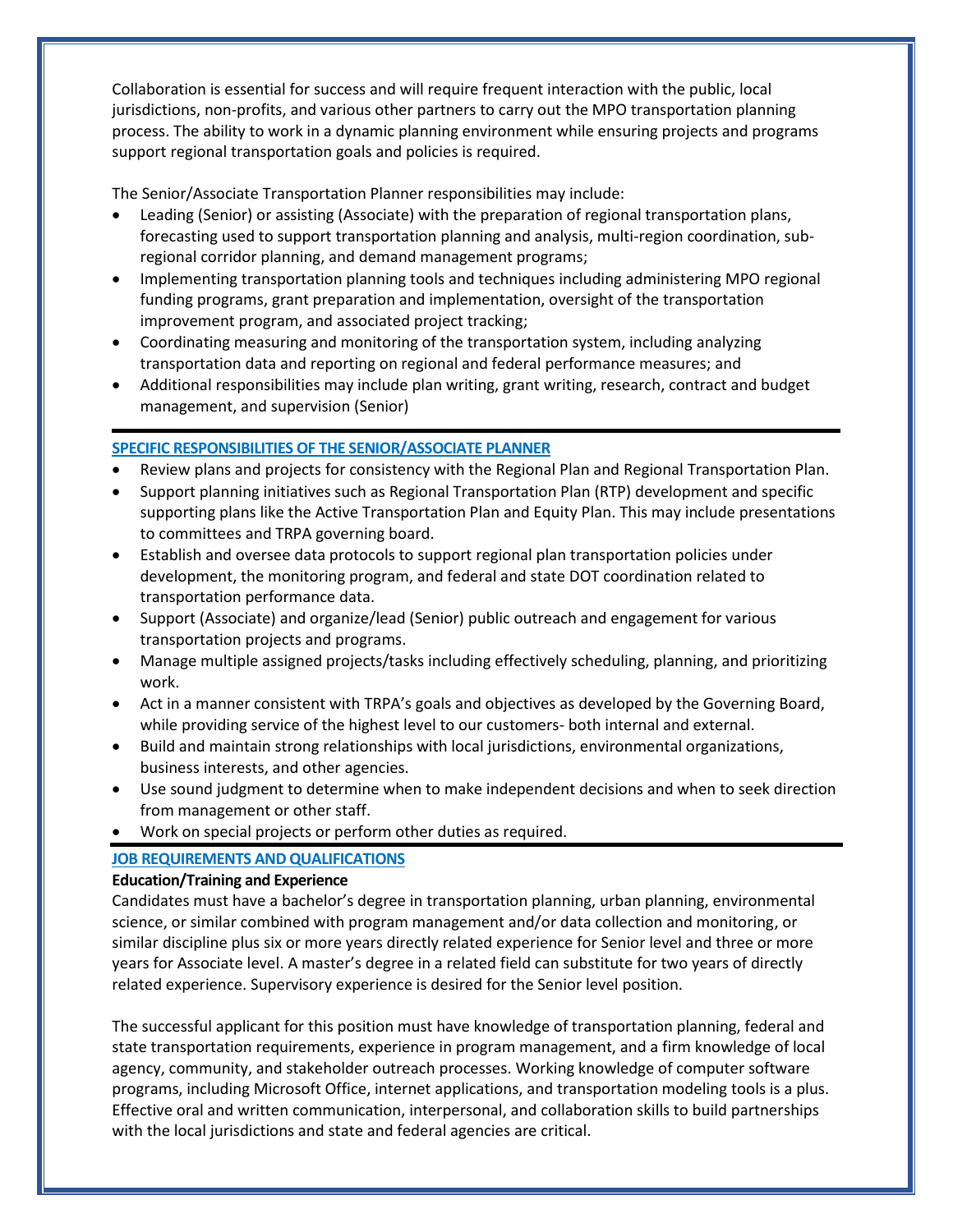Collaboration is essential for success and will require frequent interaction with the public, local jurisdictions, non-profits, and various other partners to carry out the MPO transportation planning process. The ability to work in a dynamic planning environment while ensuring projects and programs support regional transportation goals and policies is required.

The Senior/Associate Transportation Planner responsibilities may include:

- Leading (Senior) or assisting (Associate) with the preparation of regional transportation plans, forecasting used to support transportation planning and analysis, multi-region coordination, subregional corridor planning, and demand management programs;
- Implementing transportation planning tools and techniques including administering MPO regional funding programs, grant preparation and implementation, oversight of the transportation improvement program, and associated project tracking;
- Coordinating measuring and monitoring of the transportation system, including analyzing transportation data and reporting on regional and federal performance measures; and
- Additional responsibilities may include plan writing, grant writing, research, contract and budget management, and supervision (Senior)

## **SPECIFIC RESPONSIBILITIES OF THE SENIOR/ASSOCIATE PLANNER**

- Review plans and projects for consistency with the Regional Plan and Regional Transportation Plan.
- Support planning initiatives such as Regional Transportation Plan (RTP) development and specific supporting plans like the Active Transportation Plan and Equity Plan. This may include presentations to committees and TRPA governing board.
- Establish and oversee data protocols to support regional plan transportation policies under development, the monitoring program, and federal and state DOT coordination related to transportation performance data.
- Support (Associate) and organize/lead (Senior) public outreach and engagement for various transportation projects and programs.
- Manage multiple assigned projects/tasks including effectively scheduling, planning, and prioritizing work.
- Act in a manner consistent with TRPA's goals and objectives as developed by the Governing Board, while providing service of the highest level to our customers- both internal and external.
- Build and maintain strong relationships with local jurisdictions, environmental organizations, business interests, and other agencies.
- Use sound judgment to determine when to make independent decisions and when to seek direction from management or other staff.
- Work on special projects or perform other duties as required.

# **JOB REQUIREMENTS AND QUALIFICATIONS**

### **Education/Training and Experience**

Candidates must have a bachelor's degree in transportation planning, urban planning, environmental science, or similar combined with program management and/or data collection and monitoring, or similar discipline plus six or more years directly related experience for Senior level and three or more years for Associate level. A master's degree in a related field can substitute for two years of directly related experience. Supervisory experience is desired for the Senior level position.

The successful applicant for this position must have knowledge of transportation planning, federal and state transportation requirements, experience in program management, and a firm knowledge of local agency, community, and stakeholder outreach processes. Working knowledge of computer software programs, including Microsoft Office, internet applications, and transportation modeling tools is a plus. Effective oral and written communication, interpersonal, and collaboration skills to build partnerships with the local jurisdictions and state and federal agencies are critical.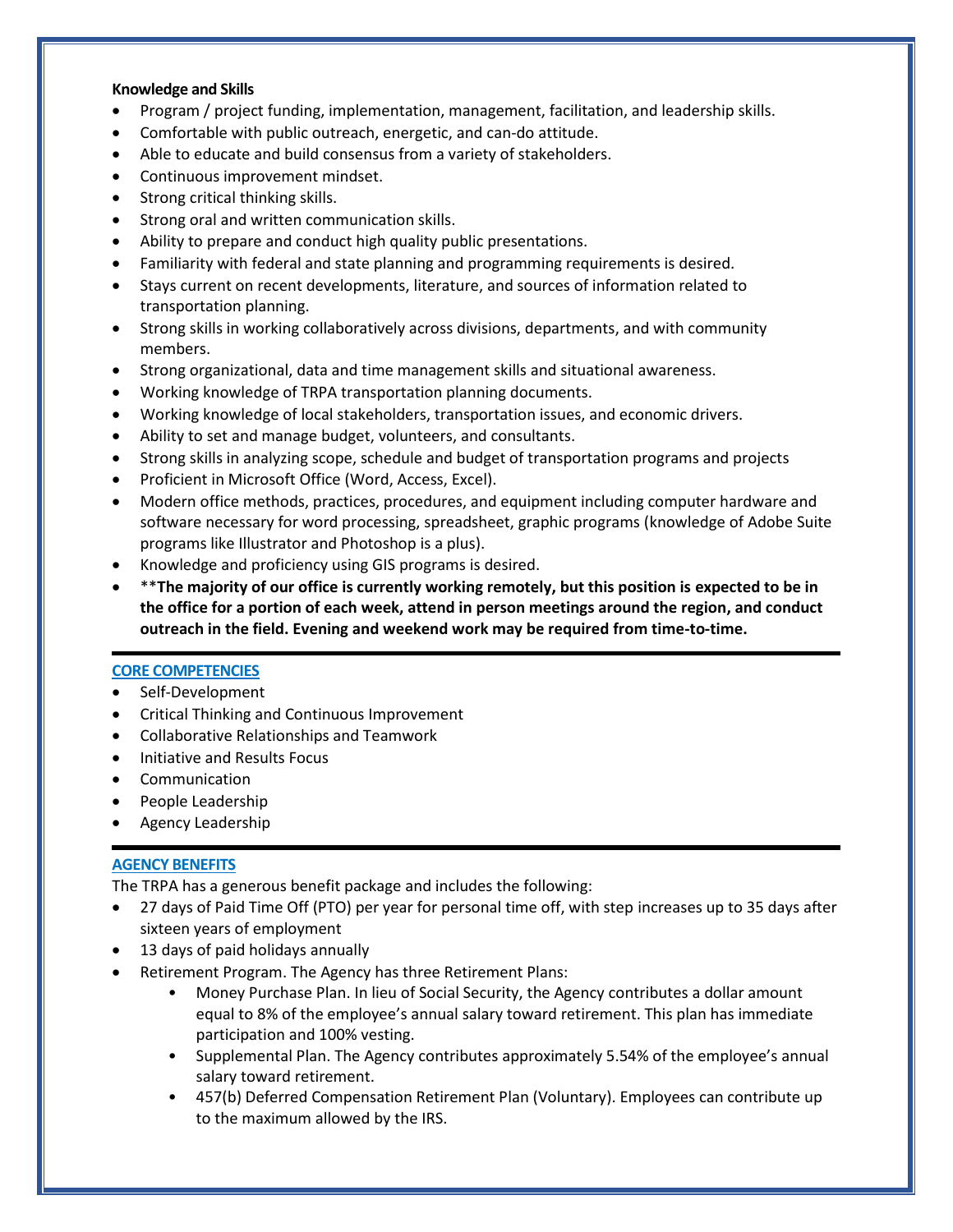### **Knowledge and Skills**

- Program / project funding, implementation, management, facilitation, and leadership skills.
- Comfortable with public outreach, energetic, and can-do attitude.
- Able to educate and build consensus from a variety of stakeholders.
- Continuous improvement mindset.
- Strong critical thinking skills.
- Strong oral and written communication skills.
- Ability to prepare and conduct high quality public presentations.
- Familiarity with federal and state planning and programming requirements is desired.
- Stays current on recent developments, literature, and sources of information related to transportation planning.
- Strong skills in working collaboratively across divisions, departments, and with community members.
- Strong organizational, data and time management skills and situational awareness.
- Working knowledge of TRPA transportation planning documents.
- Working knowledge of local stakeholders, transportation issues, and economic drivers.
- Ability to set and manage budget, volunteers, and consultants.
- Strong skills in analyzing scope, schedule and budget of transportation programs and projects
- Proficient in Microsoft Office (Word, Access, Excel).
- Modern office methods, practices, procedures, and equipment including computer hardware and software necessary for word processing, spreadsheet, graphic programs (knowledge of Adobe Suite programs like Illustrator and Photoshop is a plus).
- Knowledge and proficiency using GIS programs is desired.
- \*\***The majority of our office is currently working remotely, but this position is expected to be in the office for a portion of each week, attend in person meetings around the region, and conduct outreach in the field. Evening and weekend work may be required from time-to-time.**

#### **CORE COMPETENCIES**

- Self-Development
- Critical Thinking and Continuous Improvement
- Collaborative Relationships and Teamwork
- Initiative and Results Focus
- **Communication**
- People Leadership
- Agency Leadership

#### **AGENCY BENEFITS**

The TRPA has a generous benefit package and includes the following:

- 27 days of Paid Time Off (PTO) per year for personal time off, with step increases up to 35 days after sixteen years of employment
- 13 days of paid holidays annually
- Retirement Program. The Agency has three Retirement Plans:
	- Money Purchase Plan. In lieu of Social Security, the Agency contributes a dollar amount equal to 8% of the employee's annual salary toward retirement. This plan has immediate participation and 100% vesting.
	- Supplemental Plan. The Agency contributes approximately 5.54% of the employee's annual salary toward retirement.
	- 457(b) Deferred Compensation Retirement Plan (Voluntary). Employees can contribute up to the maximum allowed by the IRS.